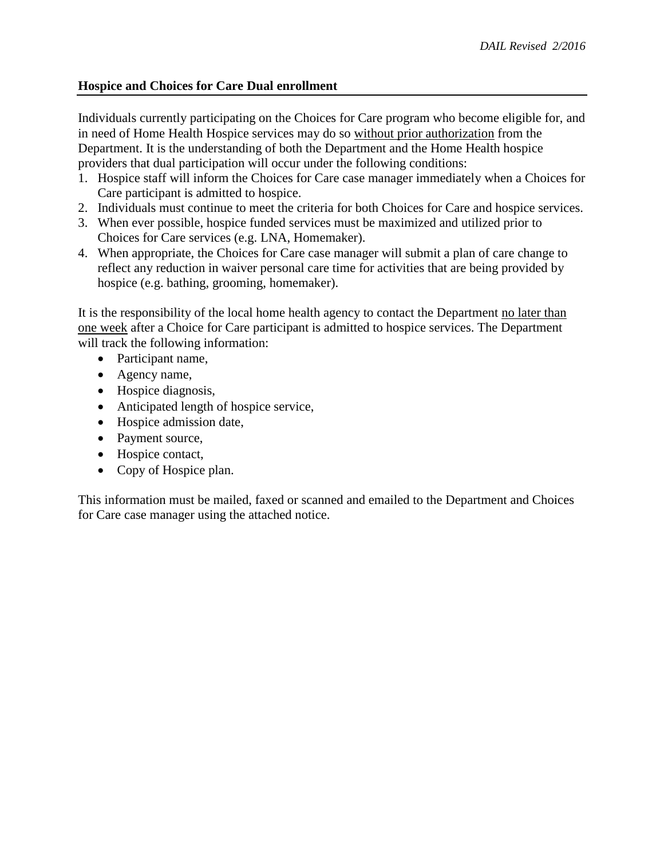## **Hospice and Choices for Care Dual enrollment**

Individuals currently participating on the Choices for Care program who become eligible for, and in need of Home Health Hospice services may do so without prior authorization from the Department. It is the understanding of both the Department and the Home Health hospice providers that dual participation will occur under the following conditions:

- 1. Hospice staff will inform the Choices for Care case manager immediately when a Choices for Care participant is admitted to hospice.
- 2. Individuals must continue to meet the criteria for both Choices for Care and hospice services.
- 3. When ever possible, hospice funded services must be maximized and utilized prior to Choices for Care services (e.g. LNA, Homemaker).
- 4. When appropriate, the Choices for Care case manager will submit a plan of care change to reflect any reduction in waiver personal care time for activities that are being provided by hospice (e.g. bathing, grooming, homemaker).

It is the responsibility of the local home health agency to contact the Department no later than one week after a Choice for Care participant is admitted to hospice services. The Department will track the following information:

- Participant name,
- Agency name,
- Hospice diagnosis,
- Anticipated length of hospice service,
- Hospice admission date,
- Payment source,
- Hospice contact,
- Copy of Hospice plan.

This information must be mailed, faxed or scanned and emailed to the Department and Choices for Care case manager using the attached notice.